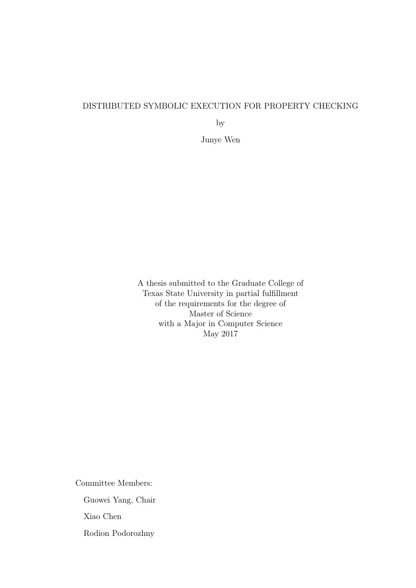### DISTRIBUTED SYMBOLIC EXECUTION FOR PROPERTY CHECKING

by

Junye Wen

A thesis submitted to the Graduate College of Texas State University in partial fulfillment of the requirements for the degree of Master of Science with a Major in Computer Science May 2017

Committee Members:

Guowei Yang, Chair

Xiao Chen

Rodion Podorozhny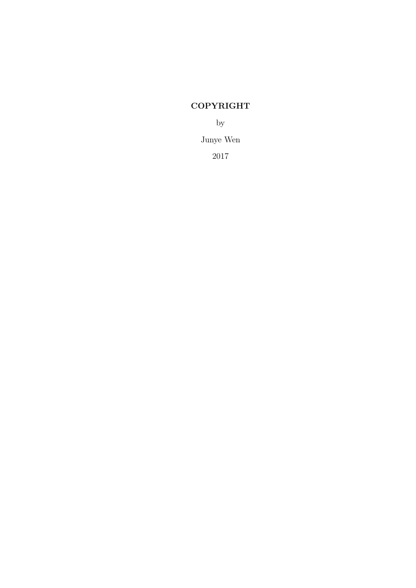# COPYRIGHT

by

Junye Wen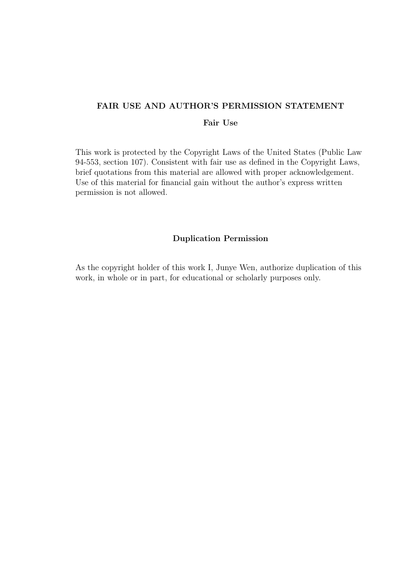# FAIR USE AND AUTHOR'S PERMISSION STATEMENT

#### Fair Use

This work is protected by the Copyright Laws of the United States (Public Law 94-553, section 107). Consistent with fair use as defined in the Copyright Laws, brief quotations from this material are allowed with proper acknowledgement. Use of this material for financial gain without the author's express written permission is not allowed.

#### Duplication Permission

As the copyright holder of this work I, Junye Wen, authorize duplication of this work, in whole or in part, for educational or scholarly purposes only.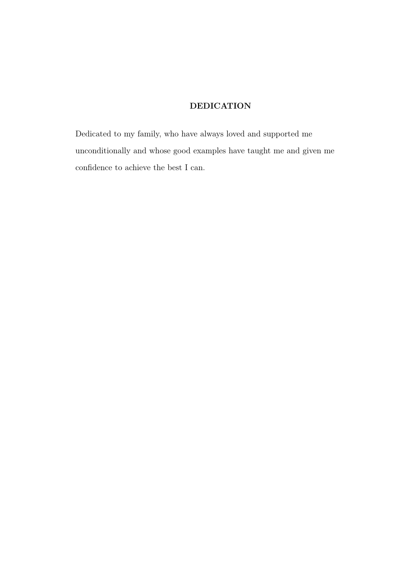# DEDICATION

Dedicated to my family, who have always loved and supported me unconditionally and whose good examples have taught me and given me confidence to achieve the best I can.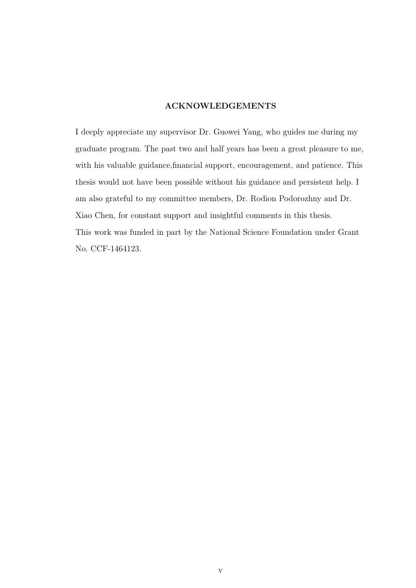#### ACKNOWLEDGEMENTS

I deeply appreciate my supervisor Dr. Guowei Yang, who guides me during my graduate program. The past two and half years has been a great pleasure to me, with his valuable guidance,financial support, encouragement, and patience. This thesis would not have been possible without his guidance and persistent help. I am also grateful to my committee members, Dr. Rodion Podorozhny and Dr. Xiao Chen, for constant support and insightful comments in this thesis. This work was funded in part by the National Science Foundation under Grant No. CCF-1464123.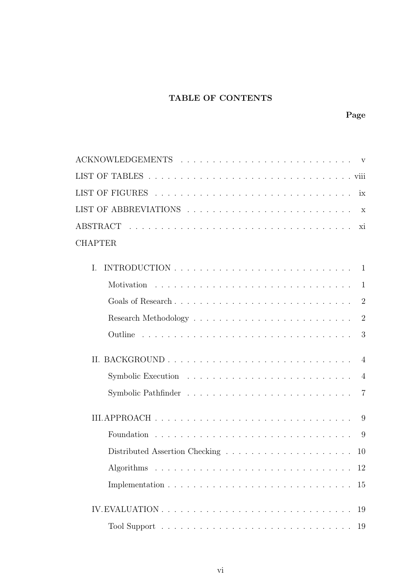# TABLE OF CONTENTS

| $\mathbf{V}$                                                                            |
|-----------------------------------------------------------------------------------------|
|                                                                                         |
| ix                                                                                      |
|                                                                                         |
| xi                                                                                      |
|                                                                                         |
|                                                                                         |
| 1                                                                                       |
| $\overline{2}$                                                                          |
|                                                                                         |
| $\overline{2}$                                                                          |
| 3                                                                                       |
| $\overline{4}$                                                                          |
| $\overline{4}$                                                                          |
| $\overline{7}$                                                                          |
| 9                                                                                       |
| 9                                                                                       |
| Distributed Assertion Checking $\ldots \ldots \ldots \ldots \ldots \ldots \ldots$<br>10 |
|                                                                                         |
| 15                                                                                      |
|                                                                                         |
| 19                                                                                      |
|                                                                                         |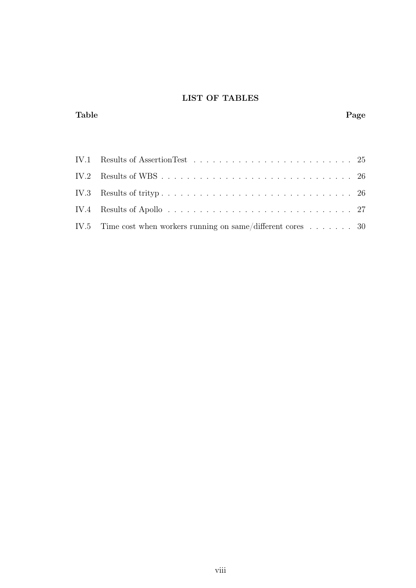# LIST OF TABLES

## Table Page

| IV.4 Results of Apollo $\dots \dots \dots \dots \dots \dots \dots \dots \dots \dots \dots \dots \dots \dots \ 27$ |
|-------------------------------------------------------------------------------------------------------------------|
| IV.5 Time cost when workers running on same/different cores $\dots \dots$ 30                                      |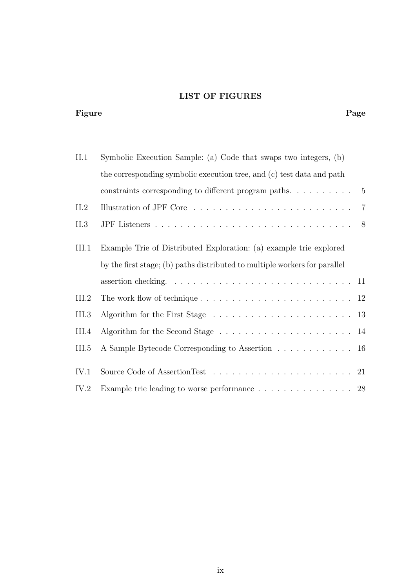# LIST OF FIGURES

#### Figure Page Page 2014 Page 2014 Page 2014 Page 2014 Page 2014 Page 2014 Page 2014 Page 2014 Page 2014 Page 2014

| II.1  | Symbolic Execution Sample: (a) Code that swaps two integers, (b)                                      |                |  |  |  |  |  |
|-------|-------------------------------------------------------------------------------------------------------|----------------|--|--|--|--|--|
|       | the corresponding symbolic execution tree, and (c) test data and path                                 |                |  |  |  |  |  |
|       |                                                                                                       |                |  |  |  |  |  |
| II.2  | Illustration of JPF Core $\ldots \ldots \ldots \ldots \ldots \ldots \ldots \ldots \ldots \ldots$      |                |  |  |  |  |  |
| II.3  |                                                                                                       | 8 <sup>8</sup> |  |  |  |  |  |
| III.1 | Example Trie of Distributed Exploration: (a) example trie explored                                    |                |  |  |  |  |  |
|       | by the first stage; (b) paths distributed to multiple workers for parallel                            |                |  |  |  |  |  |
|       | assertion checking. $\ldots \ldots \ldots \ldots \ldots \ldots \ldots \ldots \ldots \ldots \ldots 11$ |                |  |  |  |  |  |
| III.2 |                                                                                                       |                |  |  |  |  |  |
| III.3 |                                                                                                       |                |  |  |  |  |  |
| III.4 |                                                                                                       |                |  |  |  |  |  |
| III.5 | A Sample Bytecode Corresponding to Assertion 16                                                       |                |  |  |  |  |  |
| IV.1  |                                                                                                       |                |  |  |  |  |  |
| IV.2  | Example trie leading to worse performance 28                                                          |                |  |  |  |  |  |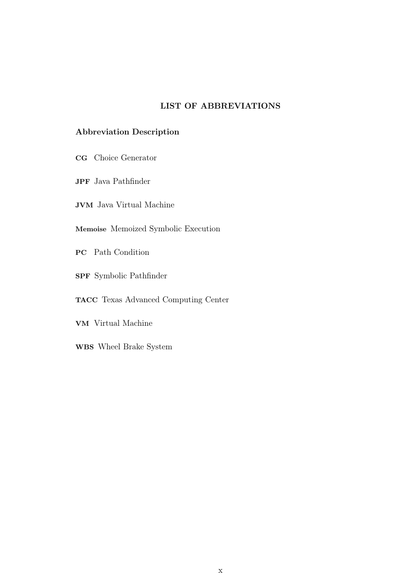## LIST OF ABBREVIATIONS

## Abbreviation Description

- CG Choice Generator
- JPF Java Pathfinder
- JVM Java Virtual Machine
- Memoise Memoized Symbolic Execution
- PC Path Condition
- SPF Symbolic Pathfinder
- TACC Texas Advanced Computing Center
- VM Virtual Machine
- WBS Wheel Brake System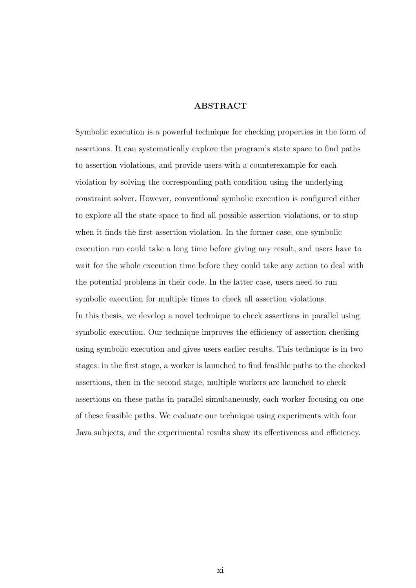#### ABSTRACT

Symbolic execution is a powerful technique for checking properties in the form of assertions. It can systematically explore the program's state space to find paths to assertion violations, and provide users with a counterexample for each violation by solving the corresponding path condition using the underlying constraint solver. However, conventional symbolic execution is configured either to explore all the state space to find all possible assertion violations, or to stop when it finds the first assertion violation. In the former case, one symbolic execution run could take a long time before giving any result, and users have to wait for the whole execution time before they could take any action to deal with the potential problems in their code. In the latter case, users need to run symbolic execution for multiple times to check all assertion violations. In this thesis, we develop a novel technique to check assertions in parallel using symbolic execution. Our technique improves the efficiency of assertion checking using symbolic execution and gives users earlier results. This technique is in two stages: in the first stage, a worker is launched to find feasible paths to the checked assertions, then in the second stage, multiple workers are launched to check assertions on these paths in parallel simultaneously, each worker focusing on one of these feasible paths. We evaluate our technique using experiments with four Java subjects, and the experimental results show its effectiveness and efficiency.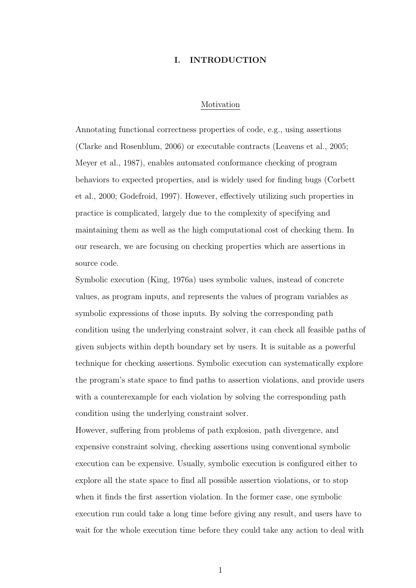#### I. INTRODUCTION

#### Motivation

Annotating functional correctness properties of code, e.g., using assertions (Clarke and Rosenblum, 2006) or executable contracts (Leavens et al., 2005; Meyer et al., 1987), enables automated conformance checking of program behaviors to expected properties, and is widely used for finding bugs (Corbett et al., 2000; Godefroid, 1997). However, effectively utilizing such properties in practice is complicated, largely due to the complexity of specifying and maintaining them as well as the high computational cost of checking them. In our research, we are focusing on checking properties which are assertions in source code.

Symbolic execution (King, 1976a) uses symbolic values, instead of concrete values, as program inputs, and represents the values of program variables as symbolic expressions of those inputs. By solving the corresponding path condition using the underlying constraint solver, it can check all feasible paths of given subjects within depth boundary set by users. It is suitable as a powerful technique for checking assertions. Symbolic execution can systematically explore the program's state space to find paths to assertion violations, and provide users with a counterexample for each violation by solving the corresponding path condition using the underlying constraint solver.

However, suffering from problems of path explosion, path divergence, and expensive constraint solving, checking assertions using conventional symbolic execution can be expensive. Usually, symbolic execution is configured either to explore all the state space to find all possible assertion violations, or to stop when it finds the first assertion violation. In the former case, one symbolic execution run could take a long time before giving any result, and users have to wait for the whole execution time before they could take any action to deal with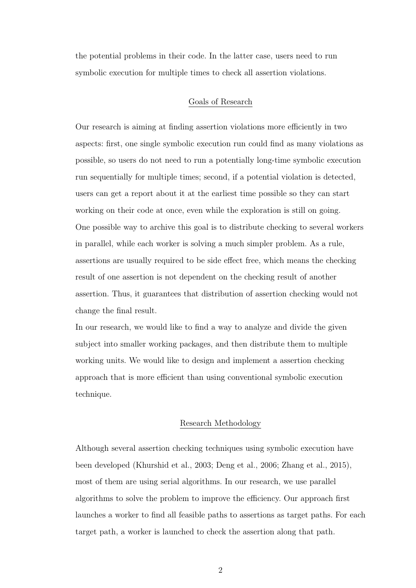the potential problems in their code. In the latter case, users need to run symbolic execution for multiple times to check all assertion violations.

#### Goals of Research

Our research is aiming at finding assertion violations more efficiently in two aspects: first, one single symbolic execution run could find as many violations as possible, so users do not need to run a potentially long-time symbolic execution run sequentially for multiple times; second, if a potential violation is detected, users can get a report about it at the earliest time possible so they can start working on their code at once, even while the exploration is still on going. One possible way to archive this goal is to distribute checking to several workers in parallel, while each worker is solving a much simpler problem. As a rule, assertions are usually required to be side effect free, which means the checking result of one assertion is not dependent on the checking result of another assertion. Thus, it guarantees that distribution of assertion checking would not change the final result.

In our research, we would like to find a way to analyze and divide the given subject into smaller working packages, and then distribute them to multiple working units. We would like to design and implement a assertion checking approach that is more efficient than using conventional symbolic execution technique.

#### Research Methodology

Although several assertion checking techniques using symbolic execution have been developed (Khurshid et al., 2003; Deng et al., 2006; Zhang et al., 2015), most of them are using serial algorithms. In our research, we use parallel algorithms to solve the problem to improve the efficiency. Our approach first launches a worker to find all feasible paths to assertions as target paths. For each target path, a worker is launched to check the assertion along that path.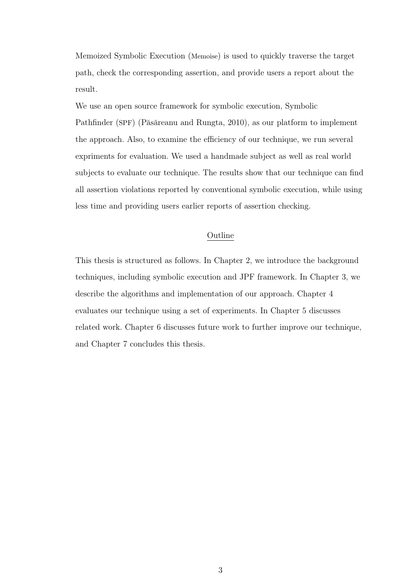Memoized Symbolic Execution (Memoise) is used to quickly traverse the target path, check the corresponding assertion, and provide users a report about the result.

We use an open source framework for symbolic execution, Symbolic Pathfinder (SPF) (Păsăreanu and Rungta, 2010), as our platform to implement the approach. Also, to examine the efficiency of our technique, we run several expriments for evaluation. We used a handmade subject as well as real world subjects to evaluate our technique. The results show that our technique can find all assertion violations reported by conventional symbolic execution, while using less time and providing users earlier reports of assertion checking.

#### Outline

This thesis is structured as follows. In Chapter 2, we introduce the background techniques, including symbolic execution and JPF framework. In Chapter 3, we describe the algorithms and implementation of our approach. Chapter 4 evaluates our technique using a set of experiments. In Chapter 5 discusses related work. Chapter 6 discusses future work to further improve our technique, and Chapter 7 concludes this thesis.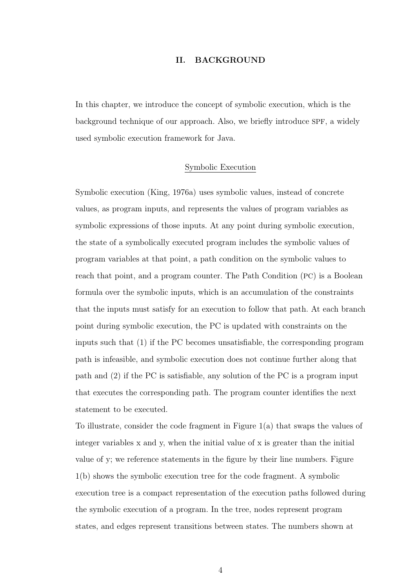#### II. BACKGROUND

In this chapter, we introduce the concept of symbolic execution, which is the background technique of our approach. Also, we briefly introduce SPF, a widely used symbolic execution framework for Java.

#### Symbolic Execution

Symbolic execution (King, 1976a) uses symbolic values, instead of concrete values, as program inputs, and represents the values of program variables as symbolic expressions of those inputs. At any point during symbolic execution, the state of a symbolically executed program includes the symbolic values of program variables at that point, a path condition on the symbolic values to reach that point, and a program counter. The Path Condition (PC) is a Boolean formula over the symbolic inputs, which is an accumulation of the constraints that the inputs must satisfy for an execution to follow that path. At each branch point during symbolic execution, the PC is updated with constraints on the inputs such that (1) if the PC becomes unsatisfiable, the corresponding program path is infeasible, and symbolic execution does not continue further along that path and (2) if the PC is satisfiable, any solution of the PC is a program input that executes the corresponding path. The program counter identifies the next statement to be executed.

To illustrate, consider the code fragment in Figure 1(a) that swaps the values of integer variables x and y, when the initial value of x is greater than the initial value of y; we reference statements in the figure by their line numbers. Figure 1(b) shows the symbolic execution tree for the code fragment. A symbolic execution tree is a compact representation of the execution paths followed during the symbolic execution of a program. In the tree, nodes represent program states, and edges represent transitions between states. The numbers shown at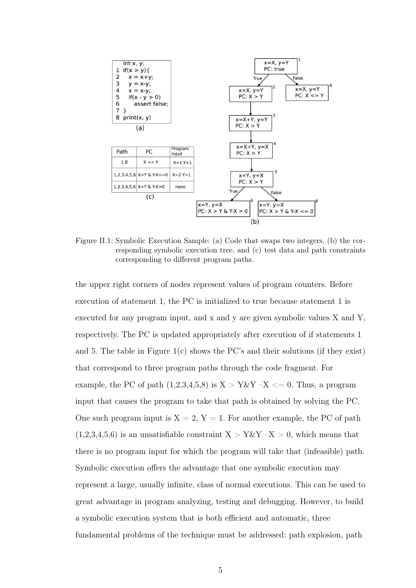

Figure II.1: Symbolic Execution Sample: (a) Code that swaps two integers, (b) the corresponding symbolic execution tree, and (c) test data and path constraints corresponding to different program paths.

the upper right corners of nodes represent values of program counters. Before execution of statement 1, the PC is initialized to true because statement 1 is executed for any program input, and x and y are given symbolic values X and Y, respectively. The PC is updated appropriately after execution of if statements 1 and 5. The table in Figure 1(c) shows the PC's and their solutions (if they exist) that correspond to three program paths through the code fragment. For example, the PC of path  $(1,2,3,4,5,8)$  is  $X > Y \& Y - X \leq 0$ . Thus, a program input that causes the program to take that path is obtained by solving the PC. One such program input is  $X = 2$ ,  $Y = 1$ . For another example, the PC of path  $(1,2,3,4,5,6)$  is an unsatisfiable constraint  $X > Y \& Y - X > 0$ , which means that there is no program input for which the program will take that (infeasible) path. Symbolic execution offers the advantage that one symbolic execution may represent a large, usually infinite, class of normal executions. This can be used to great advantage in program analyzing, testing and debugging. However, to build a symbolic execution system that is both efficient and automatic, three fundamental problems of the technique must be addressed: path explosion, path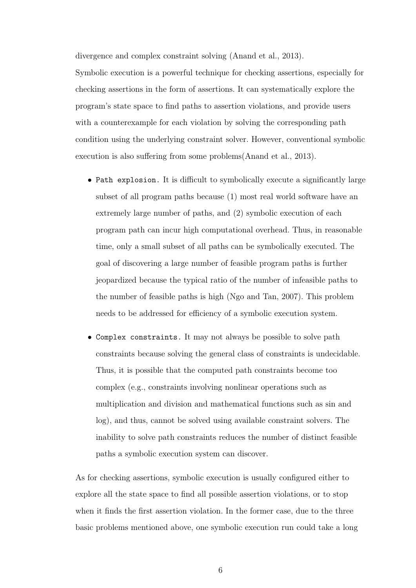divergence and complex constraint solving (Anand et al., 2013).

Symbolic execution is a powerful technique for checking assertions, especially for checking assertions in the form of assertions. It can systematically explore the program's state space to find paths to assertion violations, and provide users with a counterexample for each violation by solving the corresponding path condition using the underlying constraint solver. However, conventional symbolic execution is also suffering from some problems(Anand et al., 2013).

- Path explosion. It is difficult to symbolically execute a significantly large subset of all program paths because (1) most real world software have an extremely large number of paths, and (2) symbolic execution of each program path can incur high computational overhead. Thus, in reasonable time, only a small subset of all paths can be symbolically executed. The goal of discovering a large number of feasible program paths is further jeopardized because the typical ratio of the number of infeasible paths to the number of feasible paths is high (Ngo and Tan, 2007). This problem needs to be addressed for efficiency of a symbolic execution system.
- Complex constraints. It may not always be possible to solve path constraints because solving the general class of constraints is undecidable. Thus, it is possible that the computed path constraints become too complex (e.g., constraints involving nonlinear operations such as multiplication and division and mathematical functions such as sin and log), and thus, cannot be solved using available constraint solvers. The inability to solve path constraints reduces the number of distinct feasible paths a symbolic execution system can discover.

As for checking assertions, symbolic execution is usually configured either to explore all the state space to find all possible assertion violations, or to stop when it finds the first assertion violation. In the former case, due to the three basic problems mentioned above, one symbolic execution run could take a long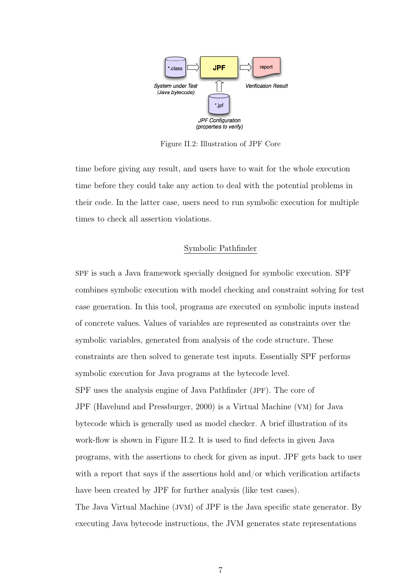

Figure II.2: Illustration of JPF Core

time before giving any result, and users have to wait for the whole execution time before they could take any action to deal with the potential problems in their code. In the latter case, users need to run symbolic execution for multiple times to check all assertion violations.

#### Symbolic Pathfinder

SPF is such a Java framework specially designed for symbolic execution. SPF combines symbolic execution with model checking and constraint solving for test case generation. In this tool, programs are executed on symbolic inputs instead of concrete values. Values of variables are represented as constraints over the symbolic variables, generated from analysis of the code structure. These constraints are then solved to generate test inputs. Essentially SPF performs symbolic execution for Java programs at the bytecode level. SPF uses the analysis engine of Java Pathfinder (JPF). The core of JPF (Havelund and Pressburger, 2000) is a Virtual Machine (VM) for Java bytecode which is generally used as model checker. A brief illustration of its work-flow is shown in Figure II.2. It is used to find defects in given Java programs, with the assertions to check for given as input. JPF gets back to user with a report that says if the assertions hold and/or which verification artifacts have been created by JPF for further analysis (like test cases). The Java Virtual Machine (JVM) of JPF is the Java specific state generator. By executing Java bytecode instructions, the JVM generates state representations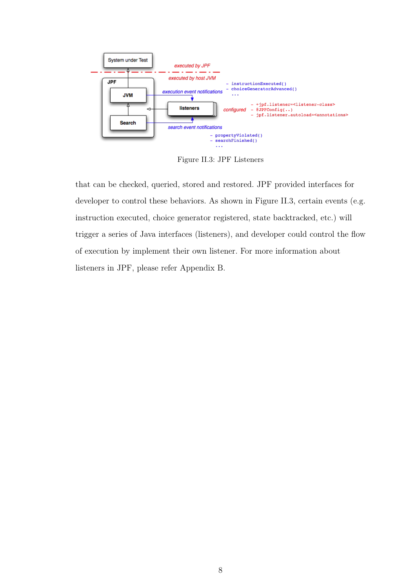

Figure II.3: JPF Listeners

that can be checked, queried, stored and restored. JPF provided interfaces for developer to control these behaviors. As shown in Figure II.3, certain events (e.g. instruction executed, choice generator registered, state backtracked, etc.) will trigger a series of Java interfaces (listeners), and developer could control the flow of execution by implement their own listener. For more information about listeners in JPF, please refer Appendix B.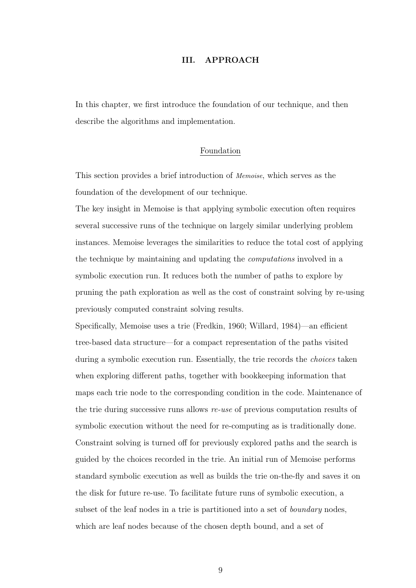#### III. APPROACH

In this chapter, we first introduce the foundation of our technique, and then describe the algorithms and implementation.

#### Foundation

This section provides a brief introduction of Memoise, which serves as the foundation of the development of our technique.

The key insight in Memoise is that applying symbolic execution often requires several successive runs of the technique on largely similar underlying problem instances. Memoise leverages the similarities to reduce the total cost of applying the technique by maintaining and updating the computations involved in a symbolic execution run. It reduces both the number of paths to explore by pruning the path exploration as well as the cost of constraint solving by re-using previously computed constraint solving results.

Specifically, Memoise uses a trie (Fredkin, 1960; Willard, 1984)—an efficient tree-based data structure—for a compact representation of the paths visited during a symbolic execution run. Essentially, the trie records the choices taken when exploring different paths, together with bookkeeping information that maps each trie node to the corresponding condition in the code. Maintenance of the trie during successive runs allows re-use of previous computation results of symbolic execution without the need for re-computing as is traditionally done. Constraint solving is turned off for previously explored paths and the search is guided by the choices recorded in the trie. An initial run of Memoise performs standard symbolic execution as well as builds the trie on-the-fly and saves it on the disk for future re-use. To facilitate future runs of symbolic execution, a subset of the leaf nodes in a trie is partitioned into a set of *boundary* nodes, which are leaf nodes because of the chosen depth bound, and a set of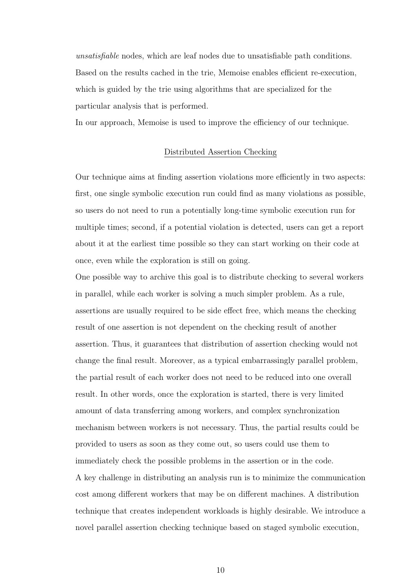unsatisfiable nodes, which are leaf nodes due to unsatisfiable path conditions. Based on the results cached in the trie, Memoise enables efficient re-execution, which is guided by the trie using algorithms that are specialized for the particular analysis that is performed.

In our approach, Memoise is used to improve the efficiency of our technique.

#### Distributed Assertion Checking

Our technique aims at finding assertion violations more efficiently in two aspects: first, one single symbolic execution run could find as many violations as possible, so users do not need to run a potentially long-time symbolic execution run for multiple times; second, if a potential violation is detected, users can get a report about it at the earliest time possible so they can start working on their code at once, even while the exploration is still on going.

One possible way to archive this goal is to distribute checking to several workers in parallel, while each worker is solving a much simpler problem. As a rule, assertions are usually required to be side effect free, which means the checking result of one assertion is not dependent on the checking result of another assertion. Thus, it guarantees that distribution of assertion checking would not change the final result. Moreover, as a typical embarrassingly parallel problem, the partial result of each worker does not need to be reduced into one overall result. In other words, once the exploration is started, there is very limited amount of data transferring among workers, and complex synchronization mechanism between workers is not necessary. Thus, the partial results could be provided to users as soon as they come out, so users could use them to immediately check the possible problems in the assertion or in the code. A key challenge in distributing an analysis run is to minimize the communication cost among different workers that may be on different machines. A distribution technique that creates independent workloads is highly desirable. We introduce a novel parallel assertion checking technique based on staged symbolic execution,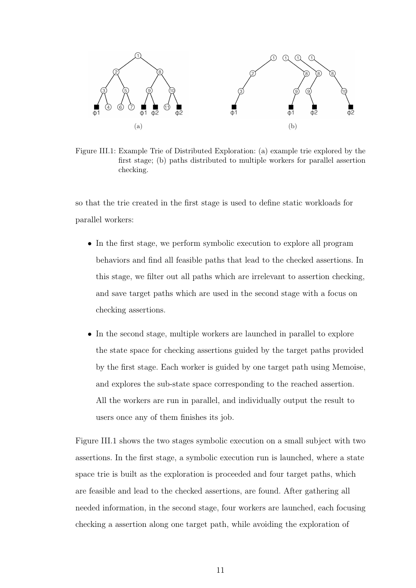

Figure III.1: Example Trie of Distributed Exploration: (a) example trie explored by the first stage; (b) paths distributed to multiple workers for parallel assertion checking.

so that the trie created in the first stage is used to define static workloads for parallel workers:

- In the first stage, we perform symbolic execution to explore all program behaviors and find all feasible paths that lead to the checked assertions. In this stage, we filter out all paths which are irrelevant to assertion checking, and save target paths which are used in the second stage with a focus on checking assertions.
- In the second stage, multiple workers are launched in parallel to explore the state space for checking assertions guided by the target paths provided by the first stage. Each worker is guided by one target path using Memoise, and explores the sub-state space corresponding to the reached assertion. All the workers are run in parallel, and individually output the result to users once any of them finishes its job.

Figure III.1 shows the two stages symbolic execution on a small subject with two assertions. In the first stage, a symbolic execution run is launched, where a state space trie is built as the exploration is proceeded and four target paths, which are feasible and lead to the checked assertions, are found. After gathering all needed information, in the second stage, four workers are launched, each focusing checking a assertion along one target path, while avoiding the exploration of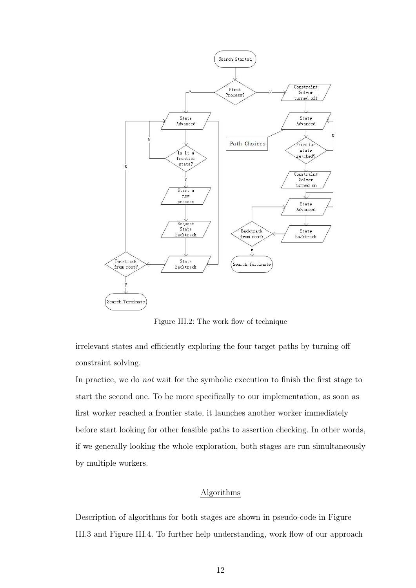

Figure III.2: The work flow of technique

irrelevant states and efficiently exploring the four target paths by turning off constraint solving.

In practice, we do not wait for the symbolic execution to finish the first stage to start the second one. To be more specifically to our implementation, as soon as first worker reached a frontier state, it launches another worker immediately before start looking for other feasible paths to assertion checking. In other words, if we generally looking the whole exploration, both stages are run simultaneously by multiple workers.

#### Algorithms

Description of algorithms for both stages are shown in pseudo-code in Figure III.3 and Figure III.4. To further help understanding, work flow of our approach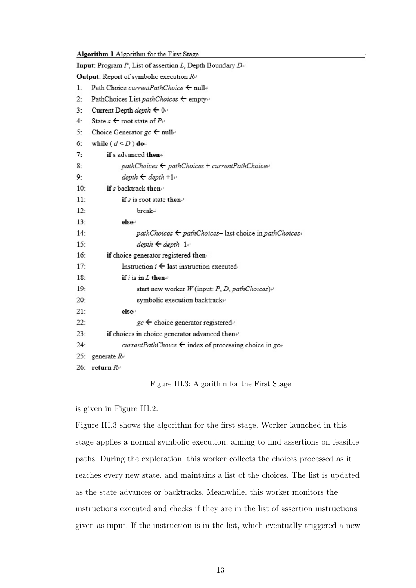| Algorithm 1 Algorithm for the First Stage |  |  |  |  |  |  |
|-------------------------------------------|--|--|--|--|--|--|
|-------------------------------------------|--|--|--|--|--|--|

| Input: Program P, List of assertion L, Depth Boundary $D\psi$             |  |  |  |  |  |  |
|---------------------------------------------------------------------------|--|--|--|--|--|--|
| <b>Output:</b> Report of symbolic execution $R \rightarrow$               |  |  |  |  |  |  |
| Path Choice current Path Choice $\leftarrow$ nulle<br>1:                  |  |  |  |  |  |  |
| PathChoices List pathChoices $\leftarrow$ empty+<br>2:                    |  |  |  |  |  |  |
| $3 -$<br>Current Depth <i>depth</i> $\leftarrow 0$                        |  |  |  |  |  |  |
| State $s \leftarrow$ root state of $P \rightarrow$<br>4:                  |  |  |  |  |  |  |
| Choice Generator $gc \leftarrow null$<br>5:                               |  |  |  |  |  |  |
| 6:<br>while ( $d < D$ ) do                                                |  |  |  |  |  |  |
| 7:<br>if s advanced then $\leftrightarrow$                                |  |  |  |  |  |  |
| 8:<br>$pathChoices \leftarrow pathChoices + currentPathChoice \leftarrow$ |  |  |  |  |  |  |
| $depth \leftarrow depth + 1 +$<br>9:                                      |  |  |  |  |  |  |
| if s backtrack then $\cdot$<br>10:                                        |  |  |  |  |  |  |
| 11:<br>if s is root state then $\vee$                                     |  |  |  |  |  |  |
| 12:<br>break⊬                                                             |  |  |  |  |  |  |
| 13:<br>else⊬                                                              |  |  |  |  |  |  |
| 14:<br>pathChoices $\leftarrow$ pathChoices-last choice in pathChoices+   |  |  |  |  |  |  |
| $15 -$<br>$depth \leftarrow depth - 1 +$                                  |  |  |  |  |  |  |
| 16:<br>if choice generator registered then                                |  |  |  |  |  |  |
| Instruction $i \leftarrow$ last instruction executed<br>$17 -$            |  |  |  |  |  |  |
| 18:<br>if i is in $L$ then $\leftrightarrow$                              |  |  |  |  |  |  |
| 19:<br>start new worker $W$ (input: P, D, pathChoices)+                   |  |  |  |  |  |  |
| 20:<br>symbolic execution backtrack+                                      |  |  |  |  |  |  |
| 21:<br>else⊬                                                              |  |  |  |  |  |  |
| 22:<br>$gc \leftarrow$ choice generator registered+                       |  |  |  |  |  |  |
| 23:<br>if choices in choice generator advanced then                       |  |  |  |  |  |  |
| currentPathChoice $\leftarrow$ index of processing choice in gc+<br>24:   |  |  |  |  |  |  |
| 25:<br>generate $R+$                                                      |  |  |  |  |  |  |
| 26:<br>return $R+$                                                        |  |  |  |  |  |  |

Figure III.3: Algorithm for the First Stage

is given in Figure III.2.

Figure III.3 shows the algorithm for the first stage. Worker launched in this stage applies a normal symbolic execution, aiming to find assertions on feasible paths. During the exploration, this worker collects the choices processed as it reaches every new state, and maintains a list of the choices. The list is updated as the state advances or backtracks. Meanwhile, this worker monitors the instructions executed and checks if they are in the list of assertion instructions given as input. If the instruction is in the list, which eventually triggered a new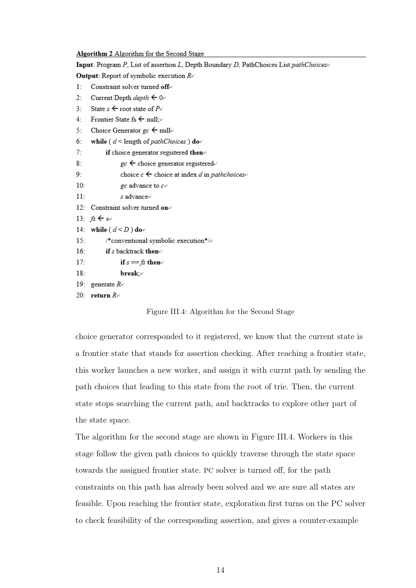| Algorithm 2 Algorithm for the Second Stage                                            |
|---------------------------------------------------------------------------------------|
| Input: Program P, List of assertion L, Depth Boundary D, PathChoices List pathChoices |
| <b>Output:</b> Report of symbolic execution $R \rightarrow$                           |
| Constraint solver turned offer<br>1:                                                  |
| $2 -$<br>Current Depth <i>depth</i> $\leftarrow 0$                                    |
| State $s \leftarrow$ root state of $P \rightarrow$<br>$3 -$                           |
| 4:<br>Frontier State fs $\leftarrow$ null;                                            |
| 5:<br>Choice Generator $gc \leftarrow null$                                           |
| 6:<br>while ( $d$ < length of pathChoices) do                                         |
| 7:<br>if choice generator registered then                                             |
| 8:<br>$gc \leftarrow$ choice generator registered                                     |
| choice $c \leftarrow$ choice at index d in pathchoices<br>9:                          |
| 10:<br>gc advance to $c \rightarrow$                                                  |
| 11:<br>s advance+                                                                     |
| 12: Constraint solver turned on $\psi$                                                |
| 13: $fs \leftarrow s+$                                                                |
| 14: while $(d \leq D)$ do-                                                            |
| 15:<br>/*conventional symbolic execution*/ $\leftrightarrow$                          |
| 16:<br>if s backtrack then $\cdot$                                                    |
| 17:<br>if $s == fs$ then                                                              |
| 18:<br>break;⊬                                                                        |
| 19:<br>generate $R_{\uparrow}$                                                        |
| 20: return $R \rightarrow$                                                            |
| Figure III.4: Algorithm for the Second Stage                                          |

choice generator corresponded to it registered, we know that the current state is a frontier state that stands for assertion checking. After reaching a frontier state, this worker launches a new worker, and assign it with currnt path by sending the path choices that leading to this state from the root of trie. Then, the current state stops searching the current path, and backtracks to explore other part of the state space.

The algorithm for the second stage are shown in Figure III.4. Workers in this stage follow the given path choices to quickly traverse through the state space towards the assigned frontier state. PC solver is turned off, for the path constraints on this path has already been solved and we are sure all states are feasible. Upon reaching the frontier state, exploration first turns on the PC solver to check feasibility of the corresponding assertion, and gives a counter-example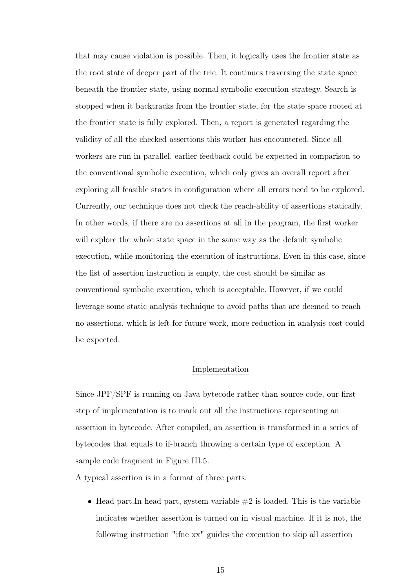that may cause violation is possible. Then, it logically uses the frontier state as the root state of deeper part of the trie. It continues traversing the state space beneath the frontier state, using normal symbolic execution strategy. Search is stopped when it backtracks from the frontier state, for the state space rooted at the frontier state is fully explored. Then, a report is generated regarding the validity of all the checked assertions this worker has encountered. Since all workers are run in parallel, earlier feedback could be expected in comparison to the conventional symbolic execution, which only gives an overall report after exploring all feasible states in configuration where all errors need to be explored. Currently, our technique does not check the reach-ability of assertions statically. In other words, if there are no assertions at all in the program, the first worker will explore the whole state space in the same way as the default symbolic execution, while monitoring the execution of instructions. Even in this case, since the list of assertion instruction is empty, the cost should be similar as conventional symbolic execution, which is acceptable. However, if we could leverage some static analysis technique to avoid paths that are deemed to reach no assertions, which is left for future work, more reduction in analysis cost could be expected.

#### Implementation

Since JPF/SPF is running on Java bytecode rather than source code, our first step of implementation is to mark out all the instructions representing an assertion in bytecode. After compiled, an assertion is transformed in a series of bytecodes that equals to if-branch throwing a certain type of exception. A sample code fragment in Figure III.5.

A typical assertion is in a format of three parts:

• Head part. In head part, system variable  $\#2$  is loaded. This is the variable indicates whether assertion is turned on in visual machine. If it is not, the following instruction "ifne xx" guides the execution to skip all assertion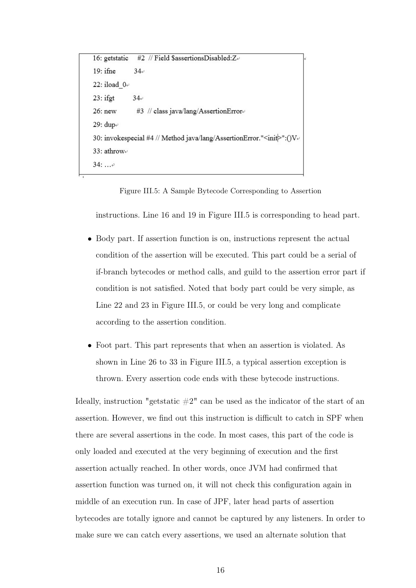```
#2 // Field $assertionsDisabled:Z+
16: getstatic
19:ifne
              34+22: iload 0<sup>.</sup>
23:ifgt
              34+#3 // class java/lang/AssertionErrore
26: new
29: dup+
30: invokespecial #4 // Method java/lang/AssertionError."<init>":()V+
33: athrow-
34: ...
```
Figure III.5: A Sample Bytecode Corresponding to Assertion

instructions. Line 16 and 19 in Figure III.5 is corresponding to head part.

- Body part. If assertion function is on, instructions represent the actual condition of the assertion will be executed. This part could be a serial of if-branch bytecodes or method calls, and guild to the assertion error part if condition is not satisfied. Noted that body part could be very simple, as Line 22 and 23 in Figure III.5, or could be very long and complicate according to the assertion condition.
- Foot part. This part represents that when an assertion is violated. As shown in Line 26 to 33 in Figure III.5, a typical assertion exception is thrown. Every assertion code ends with these bytecode instructions.

Ideally, instruction "getstatic  $#2"$  can be used as the indicator of the start of an assertion. However, we find out this instruction is difficult to catch in SPF when there are several assertions in the code. In most cases, this part of the code is only loaded and executed at the very beginning of execution and the first assertion actually reached. In other words, once JVM had confirmed that assertion function was turned on, it will not check this configuration again in middle of an execution run. In case of JPF, later head parts of assertion bytecodes are totally ignore and cannot be captured by any listeners. In order to make sure we can catch every assertions, we used an alternate solution that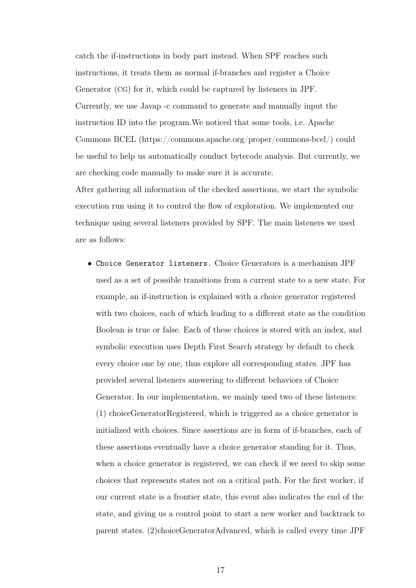catch the if-instructions in body part instead. When SPF reaches such instructions, it treats them as normal if-branches and register a Choice Generator (CG) for it, which could be captured by listeners in JPF. Currently, we use Javap -c command to generate and manually input the instruction ID into the program.We noticed that some tools, i.e. Apache Commons BCEL (https://commons.apache.org/proper/commons-bcel/) could be useful to help us automatically conduct bytecode analysis. But currently, we are checking code manually to make sure it is accurate.

After gathering all information of the checked assertions, we start the symbolic execution run using it to control the flow of exploration. We implemented our technique using several listeners provided by SPF. The main listeners we used are as follows:

• Choice Generator listeners. Choice Generators is a mechanism JPF used as a set of possible transitions from a current state to a new state. For example, an if-instruction is explained with a choice generator registered with two choices, each of which leading to a different state as the condition Boolean is true or false. Each of these choices is stored with an index, and symbolic execution uses Depth First Search strategy by default to check every choice one by one, thus explore all corresponding states. JPF has provided several listeners answering to different behaviors of Choice Generator. In our implementation, we mainly used two of these listeners: (1) choiceGeneratorRegistered, which is triggered as a choice generator is initialized with choices. Since assertions are in form of if-branches, each of these assertions eventually have a choice generator standing for it. Thus, when a choice generator is registered, we can check if we need to skip some choices that represents states not on a critical path. For the first worker, if our current state is a frontier state, this event also indicates the end of the state, and giving us a control point to start a new worker and backtrack to parent states. (2)choiceGeneratorAdvanced, which is called every time JPF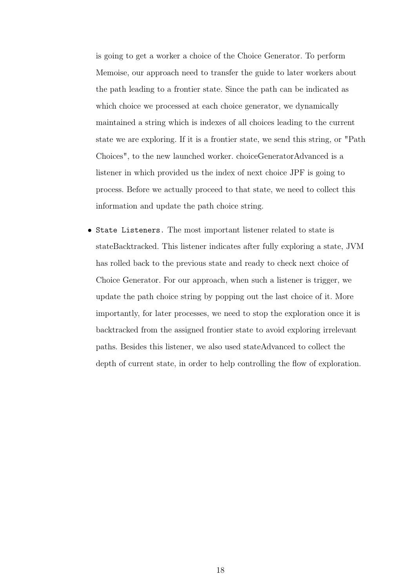is going to get a worker a choice of the Choice Generator. To perform Memoise, our approach need to transfer the guide to later workers about the path leading to a frontier state. Since the path can be indicated as which choice we processed at each choice generator, we dynamically maintained a string which is indexes of all choices leading to the current state we are exploring. If it is a frontier state, we send this string, or "Path Choices", to the new launched worker. choiceGeneratorAdvanced is a listener in which provided us the index of next choice JPF is going to process. Before we actually proceed to that state, we need to collect this information and update the path choice string.

• State Listeners. The most important listener related to state is stateBacktracked. This listener indicates after fully exploring a state, JVM has rolled back to the previous state and ready to check next choice of Choice Generator. For our approach, when such a listener is trigger, we update the path choice string by popping out the last choice of it. More importantly, for later processes, we need to stop the exploration once it is backtracked from the assigned frontier state to avoid exploring irrelevant paths. Besides this listener, we also used stateAdvanced to collect the depth of current state, in order to help controlling the flow of exploration.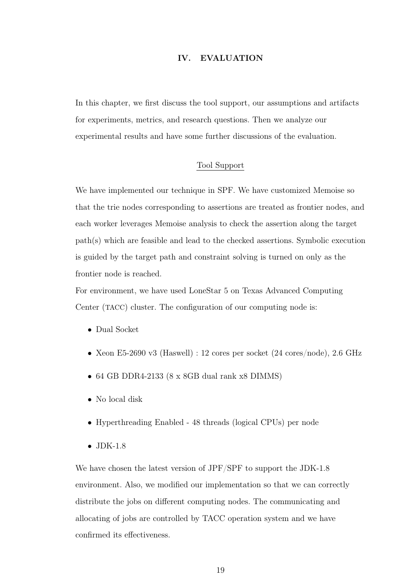#### IV. EVALUATION

In this chapter, we first discuss the tool support, our assumptions and artifacts for experiments, metrics, and research questions. Then we analyze our experimental results and have some further discussions of the evaluation.

#### Tool Support

We have implemented our technique in SPF. We have customized Memoise so that the trie nodes corresponding to assertions are treated as frontier nodes, and each worker leverages Memoise analysis to check the assertion along the target path(s) which are feasible and lead to the checked assertions. Symbolic execution is guided by the target path and constraint solving is turned on only as the frontier node is reached.

For environment, we have used LoneStar 5 on Texas Advanced Computing Center (TACC) cluster. The configuration of our computing node is:

- Dual Socket
- Xeon E5-2690 v3 (Haswell) : 12 cores per socket  $(24 \text{ cores}/\text{node})$ , 2.6 GHz
- 64 GB DDR4-2133 (8 x 8GB dual rank x8 DIMMS)
- No local disk
- Hyperthreading Enabled 48 threads (logical CPUs) per node
- JDK-1.8

We have chosen the latest version of JPF/SPF to support the JDK-1.8 environment. Also, we modified our implementation so that we can correctly distribute the jobs on different computing nodes. The communicating and allocating of jobs are controlled by TACC operation system and we have confirmed its effectiveness.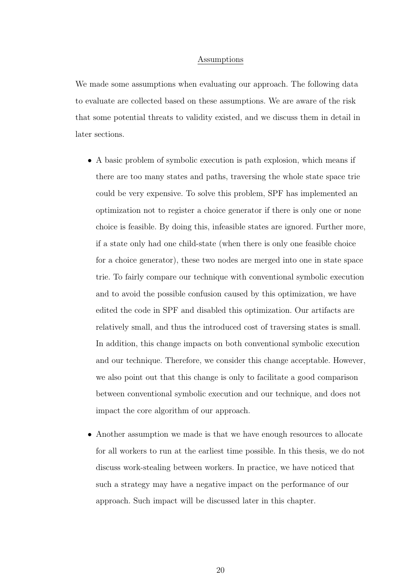#### Assumptions

We made some assumptions when evaluating our approach. The following data to evaluate are collected based on these assumptions. We are aware of the risk that some potential threats to validity existed, and we discuss them in detail in later sections.

- A basic problem of symbolic execution is path explosion, which means if there are too many states and paths, traversing the whole state space trie could be very expensive. To solve this problem, SPF has implemented an optimization not to register a choice generator if there is only one or none choice is feasible. By doing this, infeasible states are ignored. Further more, if a state only had one child-state (when there is only one feasible choice for a choice generator), these two nodes are merged into one in state space trie. To fairly compare our technique with conventional symbolic execution and to avoid the possible confusion caused by this optimization, we have edited the code in SPF and disabled this optimization. Our artifacts are relatively small, and thus the introduced cost of traversing states is small. In addition, this change impacts on both conventional symbolic execution and our technique. Therefore, we consider this change acceptable. However, we also point out that this change is only to facilitate a good comparison between conventional symbolic execution and our technique, and does not impact the core algorithm of our approach.
- Another assumption we made is that we have enough resources to allocate for all workers to run at the earliest time possible. In this thesis, we do not discuss work-stealing between workers. In practice, we have noticed that such a strategy may have a negative impact on the performance of our approach. Such impact will be discussed later in this chapter.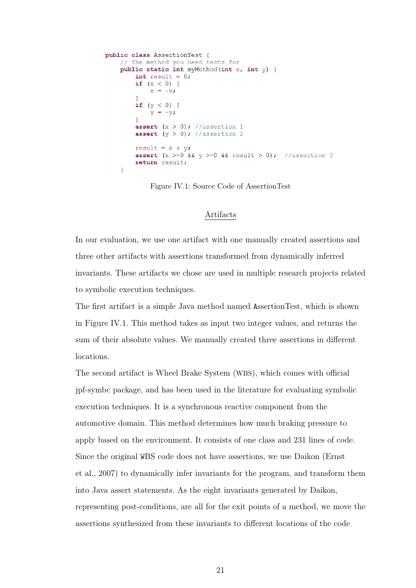```
public class AssertionTest {
    // The method you need tests for
    public static int myMethod(int x, int y) {
        int result = 0;
        if (x < 0) {
            x = -xif (y < 0) {
            y = -y;assert (x > 0); //assertion 1
        assert (y > 0); //assertion 2
        result = x + y;
        assert (x \ge 0 \land x \ne 0 \land x \ne 0); //assertion 3
        return result;
    \left\{ \right\}
```
Figure IV.1: Source Code of AssertionTest

#### Artifacts

In our evaluation, we use one artifact with one manually created assertions and three other artifacts with assertions transformed from dynamically inferred invariants. These artifacts we chose are used in multiple research projects related to symbolic execution techniques.

The first artifact is a simple Java method named AssertionTest, which is shown in Figure IV.1. This method takes as input two integer values, and returns the sum of their absolute values. We manually created three assertions in different locations.

The second artifact is Wheel Brake System (WBS), which comes with official jpf-symbc package, and has been used in the literature for evaluating symbolic execution techniques. It is a synchronous reactive component from the automotive domain. This method determines how much braking pressure to apply based on the environment. It consists of one class and 231 lines of code. Since the original WBS code does not have assertions, we use Daikon (Ernst et al., 2007) to dynamically infer invariants for the program, and transform them into Java assert statements. As the eight invariants generated by Daikon, representing post-conditions, are all for the exit points of a method, we move the assertions synthesized from these invariants to different locations of the code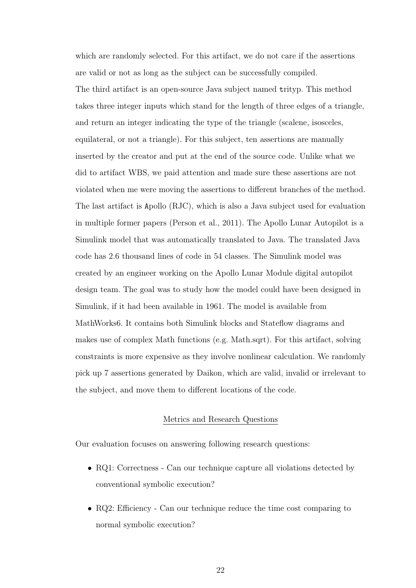which are randomly selected. For this artifact, we do not care if the assertions are valid or not as long as the subject can be successfully compiled. The third artifact is an open-source Java subject named trityp. This method takes three integer inputs which stand for the length of three edges of a triangle, and return an integer indicating the type of the triangle (scalene, isosceles, equilateral, or not a triangle). For this subject, ten assertions are manually inserted by the creator and put at the end of the source code. Unlike what we did to artifact WBS, we paid attention and made sure these assertions are not violated when me were moving the assertions to different branches of the method. The last artifact is Apollo (RJC), which is also a Java subject used for evaluation in multiple former papers (Person et al., 2011). The Apollo Lunar Autopilot is a Simulink model that was automatically translated to Java. The translated Java code has 2.6 thousand lines of code in 54 classes. The Simulink model was created by an engineer working on the Apollo Lunar Module digital autopilot design team. The goal was to study how the model could have been designed in Simulink, if it had been available in 1961. The model is available from MathWorks6. It contains both Simulink blocks and Stateflow diagrams and makes use of complex Math functions (e.g. Math.sqrt). For this artifact, solving constraints is more expensive as they involve nonlinear calculation. We randomly pick up 7 assertions generated by Daikon, which are valid, invalid or irrelevant to the subject, and move them to different locations of the code.

#### Metrics and Research Questions

Our evaluation focuses on answering following research questions:

- RQ1: Correctness Can our technique capture all violations detected by conventional symbolic execution?
- RQ2: Efficiency Can our technique reduce the time cost comparing to normal symbolic execution?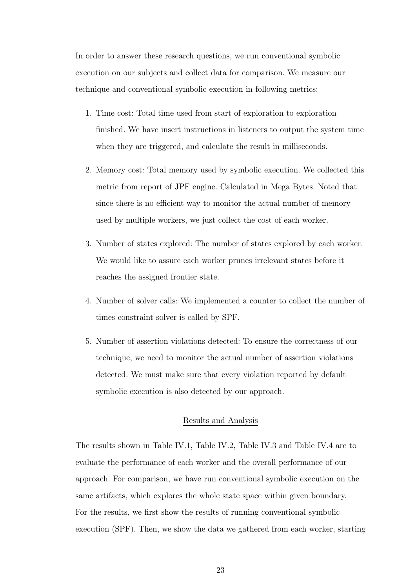In order to answer these research questions, we run conventional symbolic execution on our subjects and collect data for comparison. We measure our technique and conventional symbolic execution in following metrics:

- 1. Time cost: Total time used from start of exploration to exploration finished. We have insert instructions in listeners to output the system time when they are triggered, and calculate the result in milliseconds.
- 2. Memory cost: Total memory used by symbolic execution. We collected this metric from report of JPF engine. Calculated in Mega Bytes. Noted that since there is no efficient way to monitor the actual number of memory used by multiple workers, we just collect the cost of each worker.
- 3. Number of states explored: The number of states explored by each worker. We would like to assure each worker prunes irrelevant states before it reaches the assigned frontier state.
- 4. Number of solver calls: We implemented a counter to collect the number of times constraint solver is called by SPF.
- 5. Number of assertion violations detected: To ensure the correctness of our technique, we need to monitor the actual number of assertion violations detected. We must make sure that every violation reported by default symbolic execution is also detected by our approach.

#### Results and Analysis

The results shown in Table IV.1, Table IV.2, Table IV.3 and Table IV.4 are to evaluate the performance of each worker and the overall performance of our approach. For comparison, we have run conventional symbolic execution on the same artifacts, which explores the whole state space within given boundary. For the results, we first show the results of running conventional symbolic execution (SPF). Then, we show the data we gathered from each worker, starting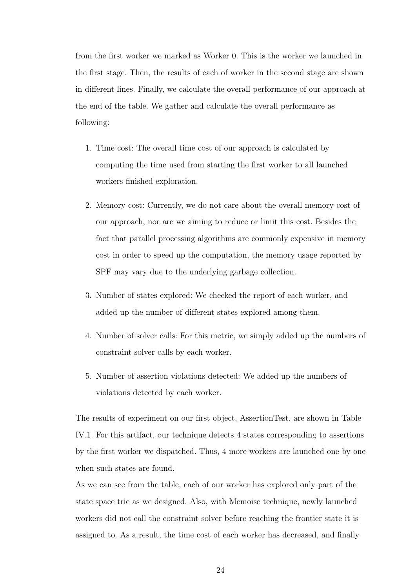from the first worker we marked as Worker 0. This is the worker we launched in the first stage. Then, the results of each of worker in the second stage are shown in different lines. Finally, we calculate the overall performance of our approach at the end of the table. We gather and calculate the overall performance as following:

- 1. Time cost: The overall time cost of our approach is calculated by computing the time used from starting the first worker to all launched workers finished exploration.
- 2. Memory cost: Currently, we do not care about the overall memory cost of our approach, nor are we aiming to reduce or limit this cost. Besides the fact that parallel processing algorithms are commonly expensive in memory cost in order to speed up the computation, the memory usage reported by SPF may vary due to the underlying garbage collection.
- 3. Number of states explored: We checked the report of each worker, and added up the number of different states explored among them.
- 4. Number of solver calls: For this metric, we simply added up the numbers of constraint solver calls by each worker.
- 5. Number of assertion violations detected: We added up the numbers of violations detected by each worker.

The results of experiment on our first object, AssertionTest, are shown in Table IV.1. For this artifact, our technique detects 4 states corresponding to assertions by the first worker we dispatched. Thus, 4 more workers are launched one by one when such states are found.

As we can see from the table, each of our worker has explored only part of the state space trie as we designed. Also, with Memoise technique, newly launched workers did not call the constraint solver before reaching the frontier state it is assigned to. As a result, the time cost of each worker has decreased, and finally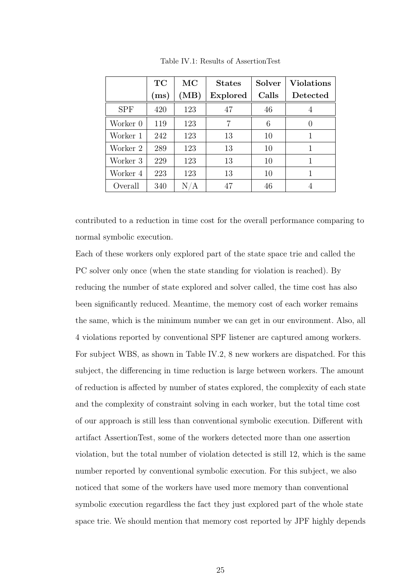|            | TC   | МC   | <b>States</b>   | Solver | <b>Violations</b> |
|------------|------|------|-----------------|--------|-------------------|
|            | (ms) | (MB) | <b>Explored</b> | Calls  | Detected          |
| <b>SPF</b> | 420  | 123  | 47              | 46     | 4                 |
| Worker 0   | 119  | 123  | 7               | 6      |                   |
| Worker 1   | 242  | 123  | 13              | 10     |                   |
| Worker 2   | 289  | 123  | 13              | 10     |                   |
| Worker 3   | 229  | 123  | 13              | 10     |                   |
| Worker 4   | 223  | 123  | 13              | 10     |                   |
| Overall    | 340  | N/A  | 47              | 46     |                   |

Table IV.1: Results of AssertionTest

contributed to a reduction in time cost for the overall performance comparing to normal symbolic execution.

Each of these workers only explored part of the state space trie and called the PC solver only once (when the state standing for violation is reached). By reducing the number of state explored and solver called, the time cost has also been significantly reduced. Meantime, the memory cost of each worker remains the same, which is the minimum number we can get in our environment. Also, all 4 violations reported by conventional SPF listener are captured among workers. For subject WBS, as shown in Table IV.2, 8 new workers are dispatched. For this subject, the differencing in time reduction is large between workers. The amount of reduction is affected by number of states explored, the complexity of each state and the complexity of constraint solving in each worker, but the total time cost of our approach is still less than conventional symbolic execution. Different with artifact AssertionTest, some of the workers detected more than one assertion violation, but the total number of violation detected is still 12, which is the same number reported by conventional symbolic execution. For this subject, we also noticed that some of the workers have used more memory than conventional symbolic execution regardless the fact they just explored part of the whole state space trie. We should mention that memory cost reported by JPF highly depends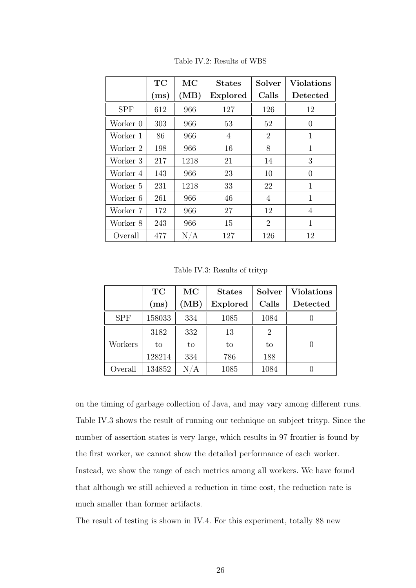|            | TC   | МC   | <b>States</b> | Solver         | Violations |
|------------|------|------|---------------|----------------|------------|
|            | (ms) | (MB) | Explored      | Calls          | Detected   |
| <b>SPF</b> | 612  | 966  | 127           | 126            | 12         |
| Worker 0   | 303  | 966  | 53            | 52             | $\theta$   |
| Worker 1   | 86   | 966  | 4             | $\overline{2}$ | 1          |
| Worker 2   | 198  | 966  | 16            | 8              | 1          |
| Worker 3   | 217  | 1218 | 21            | 14             | 3          |
| Worker 4   | 143  | 966  | 23            | 10             | $\theta$   |
| Worker 5   | 231  | 1218 | 33            | 22             | 1          |
| Worker 6   | 261  | 966  | 46            | $\overline{4}$ | 1          |
| Worker 7   | 172  | 966  | 27            | 12             | 4          |
| Worker 8   | 243  | 966  | 15            | 2              | 1          |
| Overall    | 477  | N/A  | 127           | 126            | 12         |

Table IV.2: Results of WBS

Table IV.3: Results of trityp

|            | TC     | МC   | <b>States</b>   | <b>Solver</b> | <b>Violations</b> |
|------------|--------|------|-----------------|---------------|-------------------|
|            | (ms)   | (MB) | <b>Explored</b> | Calls         | Detected          |
| <b>SPF</b> | 158033 | 334  | 1085            | 1084          |                   |
|            | 3182   | 332  | 13              | 2             |                   |
| Workers    | to     | to   | to              | to            |                   |
|            | 128214 | 334  | 786             | 188           |                   |
| Overall    | 134852 | N/A  | 1085            | 1084          |                   |

on the timing of garbage collection of Java, and may vary among different runs. Table IV.3 shows the result of running our technique on subject trityp. Since the number of assertion states is very large, which results in 97 frontier is found by the first worker, we cannot show the detailed performance of each worker. Instead, we show the range of each metrics among all workers. We have found that although we still achieved a reduction in time cost, the reduction rate is much smaller than former artifacts.

The result of testing is shown in IV.4. For this experiment, totally 88 new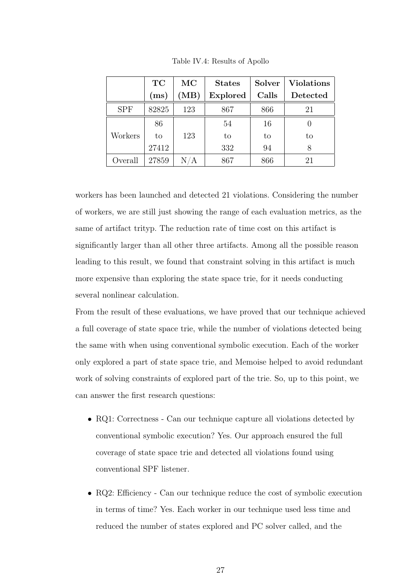|            | TC    | МC                      | <b>States</b>   | <b>Solver</b> | <b>Violations</b> |
|------------|-------|-------------------------|-----------------|---------------|-------------------|
|            | (ms)  | (MB)                    | <b>Explored</b> | Calls         | Detected          |
| <b>SPF</b> | 82825 | 123                     | 867             | 866           | 21                |
|            | 86    |                         | 54              | 16            |                   |
| Workers    | to    | 123                     | to              | to            | to                |
|            | 27412 |                         | 332             | 94            | 8                 |
| Overall    | 27859 | $\mathrm{N}/\mathrm{A}$ | 867             | 866           | 21                |

Table IV.4: Results of Apollo

workers has been launched and detected 21 violations. Considering the number of workers, we are still just showing the range of each evaluation metrics, as the same of artifact trityp. The reduction rate of time cost on this artifact is significantly larger than all other three artifacts. Among all the possible reason leading to this result, we found that constraint solving in this artifact is much more expensive than exploring the state space trie, for it needs conducting several nonlinear calculation.

From the result of these evaluations, we have proved that our technique achieved a full coverage of state space trie, while the number of violations detected being the same with when using conventional symbolic execution. Each of the worker only explored a part of state space trie, and Memoise helped to avoid redundant work of solving constraints of explored part of the trie. So, up to this point, we can answer the first research questions:

- RQ1: Correctness Can our technique capture all violations detected by conventional symbolic execution? Yes. Our approach ensured the full coverage of state space trie and detected all violations found using conventional SPF listener.
- RQ2: Efficiency Can our technique reduce the cost of symbolic execution in terms of time? Yes. Each worker in our technique used less time and reduced the number of states explored and PC solver called, and the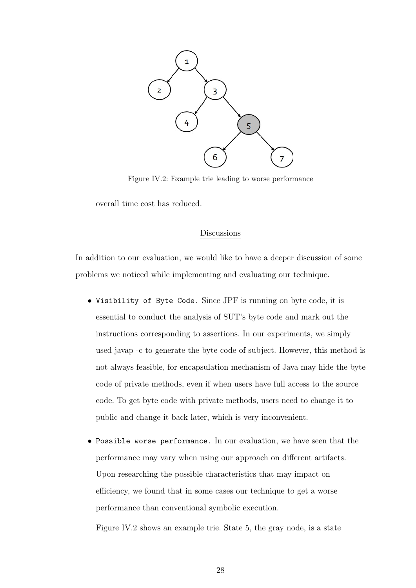

Figure IV.2: Example trie leading to worse performance

overall time cost has reduced.

#### Discussions

In addition to our evaluation, we would like to have a deeper discussion of some problems we noticed while implementing and evaluating our technique.

- Visibility of Byte Code. Since JPF is running on byte code, it is essential to conduct the analysis of SUT's byte code and mark out the instructions corresponding to assertions. In our experiments, we simply used javap -c to generate the byte code of subject. However, this method is not always feasible, for encapsulation mechanism of Java may hide the byte code of private methods, even if when users have full access to the source code. To get byte code with private methods, users need to change it to public and change it back later, which is very inconvenient.
- Possible worse performance. In our evaluation, we have seen that the performance may vary when using our approach on different artifacts. Upon researching the possible characteristics that may impact on efficiency, we found that in some cases our technique to get a worse performance than conventional symbolic execution.

Figure IV.2 shows an example trie. State 5, the gray node, is a state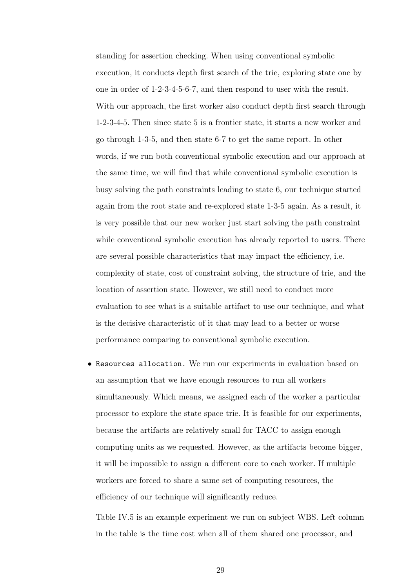standing for assertion checking. When using conventional symbolic execution, it conducts depth first search of the trie, exploring state one by one in order of 1-2-3-4-5-6-7, and then respond to user with the result. With our approach, the first worker also conduct depth first search through 1-2-3-4-5. Then since state 5 is a frontier state, it starts a new worker and go through 1-3-5, and then state 6-7 to get the same report. In other words, if we run both conventional symbolic execution and our approach at the same time, we will find that while conventional symbolic execution is busy solving the path constraints leading to state 6, our technique started again from the root state and re-explored state 1-3-5 again. As a result, it is very possible that our new worker just start solving the path constraint while conventional symbolic execution has already reported to users. There are several possible characteristics that may impact the efficiency, i.e. complexity of state, cost of constraint solving, the structure of trie, and the location of assertion state. However, we still need to conduct more evaluation to see what is a suitable artifact to use our technique, and what is the decisive characteristic of it that may lead to a better or worse performance comparing to conventional symbolic execution.

• Resources allocation. We run our experiments in evaluation based on an assumption that we have enough resources to run all workers simultaneously. Which means, we assigned each of the worker a particular processor to explore the state space trie. It is feasible for our experiments, because the artifacts are relatively small for TACC to assign enough computing units as we requested. However, as the artifacts become bigger, it will be impossible to assign a different core to each worker. If multiple workers are forced to share a same set of computing resources, the efficiency of our technique will significantly reduce.

Table IV.5 is an example experiment we run on subject WBS. Left column in the table is the time cost when all of them shared one processor, and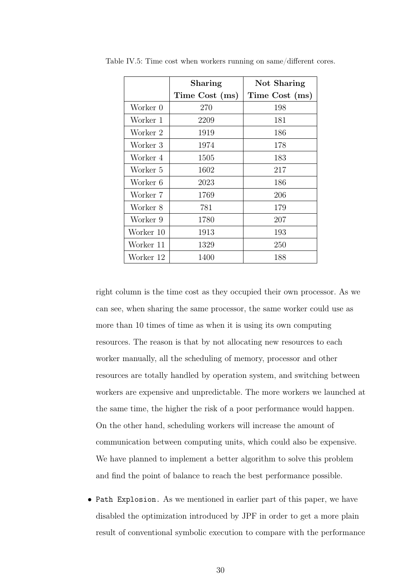|           | Sharing        | Not Sharing    |
|-----------|----------------|----------------|
|           | Time Cost (ms) | Time Cost (ms) |
| Worker 0  | 270            | 198            |
| Worker 1  | 2209           | 181            |
| Worker 2  | 1919           | 186            |
| Worker 3  | 1974           | 178            |
| Worker 4  | 1505           | 183            |
| Worker 5  | 1602           | 217            |
| Worker 6  | 2023           | 186            |
| Worker 7  | 1769           | 206            |
| Worker 8  | 781            | 179            |
| Worker 9  | 1780           | 207            |
| Worker 10 | 1913           | 193            |
| Worker 11 | 1329           | 250            |
| Worker 12 | 1400           | 188            |

Table IV.5: Time cost when workers running on same/different cores.

right column is the time cost as they occupied their own processor. As we can see, when sharing the same processor, the same worker could use as more than 10 times of time as when it is using its own computing resources. The reason is that by not allocating new resources to each worker manually, all the scheduling of memory, processor and other resources are totally handled by operation system, and switching between workers are expensive and unpredictable. The more workers we launched at the same time, the higher the risk of a poor performance would happen. On the other hand, scheduling workers will increase the amount of communication between computing units, which could also be expensive. We have planned to implement a better algorithm to solve this problem and find the point of balance to reach the best performance possible.

• Path Explosion. As we mentioned in earlier part of this paper, we have disabled the optimization introduced by JPF in order to get a more plain result of conventional symbolic execution to compare with the performance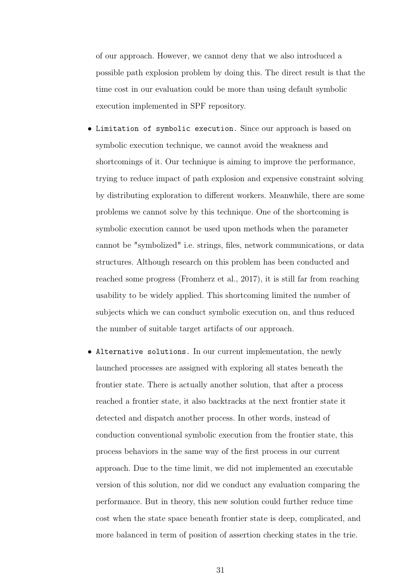of our approach. However, we cannot deny that we also introduced a possible path explosion problem by doing this. The direct result is that the time cost in our evaluation could be more than using default symbolic execution implemented in SPF repository.

- Limitation of symbolic execution. Since our approach is based on symbolic execution technique, we cannot avoid the weakness and shortcomings of it. Our technique is aiming to improve the performance, trying to reduce impact of path explosion and expensive constraint solving by distributing exploration to different workers. Meanwhile, there are some problems we cannot solve by this technique. One of the shortcoming is symbolic execution cannot be used upon methods when the parameter cannot be "symbolized" i.e. strings, files, network communications, or data structures. Although research on this problem has been conducted and reached some progress (Fromherz et al., 2017), it is still far from reaching usability to be widely applied. This shortcoming limited the number of subjects which we can conduct symbolic execution on, and thus reduced the number of suitable target artifacts of our approach.
- Alternative solutions. In our current implementation, the newly launched processes are assigned with exploring all states beneath the frontier state. There is actually another solution, that after a process reached a frontier state, it also backtracks at the next frontier state it detected and dispatch another process. In other words, instead of conduction conventional symbolic execution from the frontier state, this process behaviors in the same way of the first process in our current approach. Due to the time limit, we did not implemented an executable version of this solution, nor did we conduct any evaluation comparing the performance. But in theory, this new solution could further reduce time cost when the state space beneath frontier state is deep, complicated, and more balanced in term of position of assertion checking states in the trie.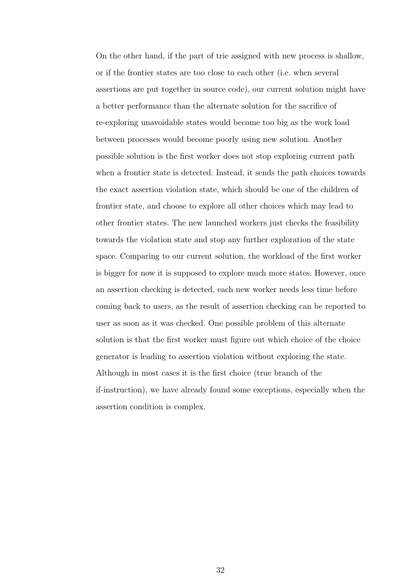On the other hand, if the part of trie assigned with new process is shallow, or if the frontier states are too close to each other (i.e. when several assertions are put together in source code), our current solution might have a better performance than the alternate solution for the sacrifice of re-exploring unavoidable states would become too big as the work load between processes would become poorly using new solution. Another possible solution is the first worker does not stop exploring current path when a frontier state is detected. Instead, it sends the path choices towards the exact assertion violation state, which should be one of the children of frontier state, and choose to explore all other choices which may lead to other frontier states. The new launched workers just checks the feasibility towards the violation state and stop any further exploration of the state space. Comparing to our current solution, the workload of the first worker is bigger for now it is supposed to explore much more states. However, once an assertion checking is detected, each new worker needs less time before coming back to users, as the result of assertion checking can be reported to user as soon as it was checked. One possible problem of this alternate solution is that the first worker must figure out which choice of the choice generator is leading to assertion violation without exploring the state. Although in most cases it is the first choice (true branch of the if-instruction), we have already found some exceptions, especially when the assertion condition is complex.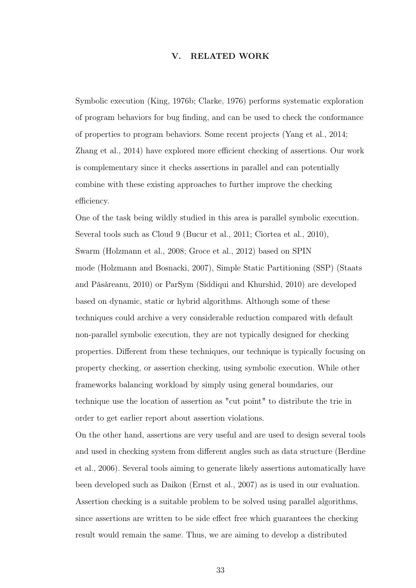#### V. RELATED WORK

Symbolic execution (King, 1976b; Clarke, 1976) performs systematic exploration of program behaviors for bug finding, and can be used to check the conformance of properties to program behaviors. Some recent projects (Yang et al., 2014; Zhang et al., 2014) have explored more efficient checking of assertions. Our work is complementary since it checks assertions in parallel and can potentially combine with these existing approaches to further improve the checking efficiency.

One of the task being wildly studied in this area is parallel symbolic execution. Several tools such as Cloud 9 (Bucur et al., 2011; Ciortea et al., 2010), Swarm (Holzmann et al., 2008; Groce et al., 2012) based on SPIN mode (Holzmann and Bosnacki, 2007), Simple Static Partitioning (SSP) (Staats and Pǎsǎreanu, 2010) or ParSym (Siddiqui and Khurshid, 2010) are developed based on dynamic, static or hybrid algorithms. Although some of these techniques could archive a very considerable reduction compared with default non-parallel symbolic execution, they are not typically designed for checking properties. Different from these techniques, our technique is typically focusing on property checking, or assertion checking, using symbolic execution. While other frameworks balancing workload by simply using general boundaries, our technique use the location of assertion as "cut point" to distribute the trie in order to get earlier report about assertion violations.

On the other hand, assertions are very useful and are used to design several tools and used in checking system from different angles such as data structure (Berdine et al., 2006). Several tools aiming to generate likely assertions automatically have been developed such as Daikon (Ernst et al., 2007) as is used in our evaluation. Assertion checking is a suitable problem to be solved using parallel algorithms, since assertions are written to be side effect free which guarantees the checking result would remain the same. Thus, we are aiming to develop a distributed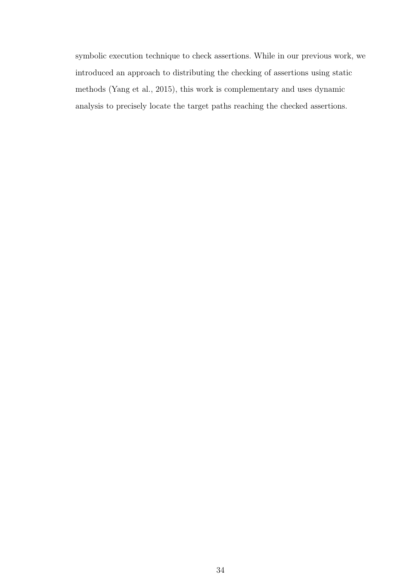symbolic execution technique to check assertions. While in our previous work, we introduced an approach to distributing the checking of assertions using static methods (Yang et al., 2015), this work is complementary and uses dynamic analysis to precisely locate the target paths reaching the checked assertions.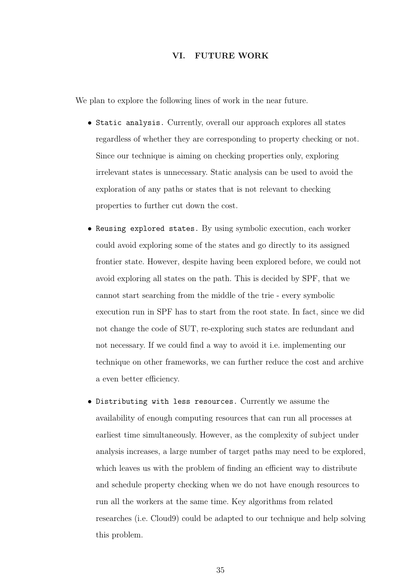#### VI. FUTURE WORK

We plan to explore the following lines of work in the near future.

- Static analysis. Currently, overall our approach explores all states regardless of whether they are corresponding to property checking or not. Since our technique is aiming on checking properties only, exploring irrelevant states is unnecessary. Static analysis can be used to avoid the exploration of any paths or states that is not relevant to checking properties to further cut down the cost.
- Reusing explored states. By using symbolic execution, each worker could avoid exploring some of the states and go directly to its assigned frontier state. However, despite having been explored before, we could not avoid exploring all states on the path. This is decided by SPF, that we cannot start searching from the middle of the trie - every symbolic execution run in SPF has to start from the root state. In fact, since we did not change the code of SUT, re-exploring such states are redundant and not necessary. If we could find a way to avoid it i.e. implementing our technique on other frameworks, we can further reduce the cost and archive a even better efficiency.
- Distributing with less resources. Currently we assume the availability of enough computing resources that can run all processes at earliest time simultaneously. However, as the complexity of subject under analysis increases, a large number of target paths may need to be explored, which leaves us with the problem of finding an efficient way to distribute and schedule property checking when we do not have enough resources to run all the workers at the same time. Key algorithms from related researches (i.e. Cloud9) could be adapted to our technique and help solving this problem.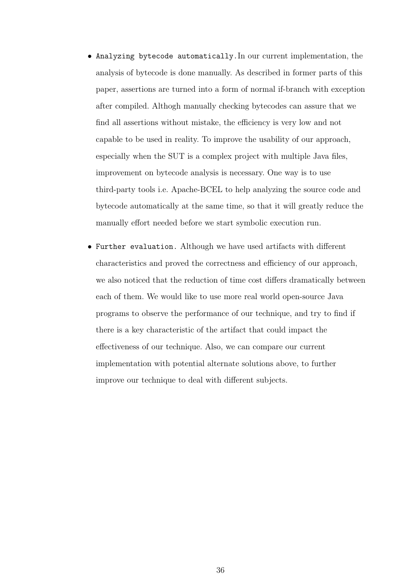- Analyzing bytecode automatically.In our current implementation, the analysis of bytecode is done manually. As described in former parts of this paper, assertions are turned into a form of normal if-branch with exception after compiled. Althogh manually checking bytecodes can assure that we find all assertions without mistake, the efficiency is very low and not capable to be used in reality. To improve the usability of our approach, especially when the SUT is a complex project with multiple Java files, improvement on bytecode analysis is necessary. One way is to use third-party tools i.e. Apache-BCEL to help analyzing the source code and bytecode automatically at the same time, so that it will greatly reduce the manually effort needed before we start symbolic execution run.
- Further evaluation. Although we have used artifacts with different characteristics and proved the correctness and efficiency of our approach, we also noticed that the reduction of time cost differs dramatically between each of them. We would like to use more real world open-source Java programs to observe the performance of our technique, and try to find if there is a key characteristic of the artifact that could impact the effectiveness of our technique. Also, we can compare our current implementation with potential alternate solutions above, to further improve our technique to deal with different subjects.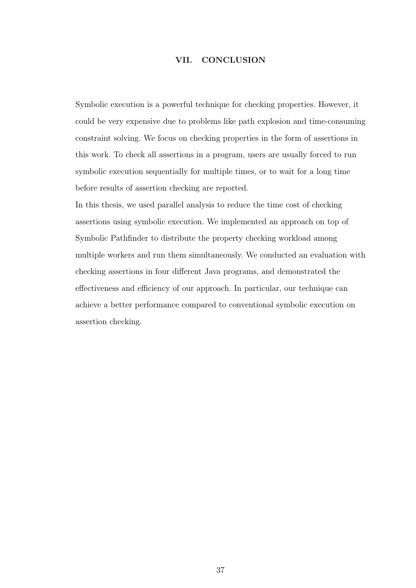#### VII. CONCLUSION

Symbolic execution is a powerful technique for checking properties. However, it could be very expensive due to problems like path explosion and time-consuming constraint solving. We focus on checking properties in the form of assertions in this work. To check all assertions in a program, users are usually forced to run symbolic execution sequentially for multiple times, or to wait for a long time before results of assertion checking are reported.

In this thesis, we used parallel analysis to reduce the time cost of checking assertions using symbolic execution. We implemented an approach on top of Symbolic Pathfinder to distribute the property checking workload among multiple workers and run them simultaneously. We conducted an evaluation with checking assertions in four different Java programs, and demonstrated the effectiveness and efficiency of our approach. In particular, our technique can achieve a better performance compared to conventional symbolic execution on assertion checking.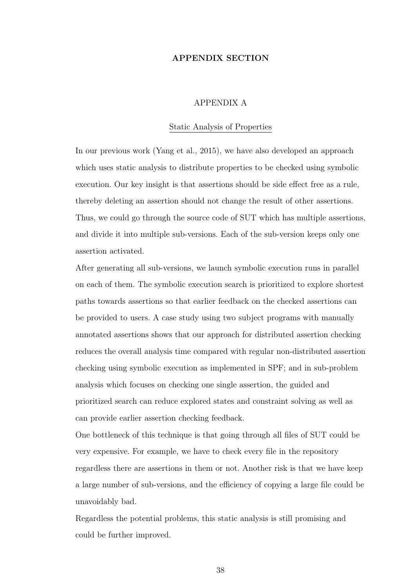#### APPENDIX SECTION

#### APPENDIX A

#### Static Analysis of Properties

In our previous work (Yang et al., 2015), we have also developed an approach which uses static analysis to distribute properties to be checked using symbolic execution. Our key insight is that assertions should be side effect free as a rule, thereby deleting an assertion should not change the result of other assertions. Thus, we could go through the source code of SUT which has multiple assertions, and divide it into multiple sub-versions. Each of the sub-version keeps only one assertion activated.

After generating all sub-versions, we launch symbolic execution runs in parallel on each of them. The symbolic execution search is prioritized to explore shortest paths towards assertions so that earlier feedback on the checked assertions can be provided to users. A case study using two subject programs with manually annotated assertions shows that our approach for distributed assertion checking reduces the overall analysis time compared with regular non-distributed assertion checking using symbolic execution as implemented in SPF; and in sub-problem analysis which focuses on checking one single assertion, the guided and prioritized search can reduce explored states and constraint solving as well as can provide earlier assertion checking feedback.

One bottleneck of this technique is that going through all files of SUT could be very expensive. For example, we have to check every file in the repository regardless there are assertions in them or not. Another risk is that we have keep a large number of sub-versions, and the efficiency of copying a large file could be unavoidably bad.

Regardless the potential problems, this static analysis is still promising and could be further improved.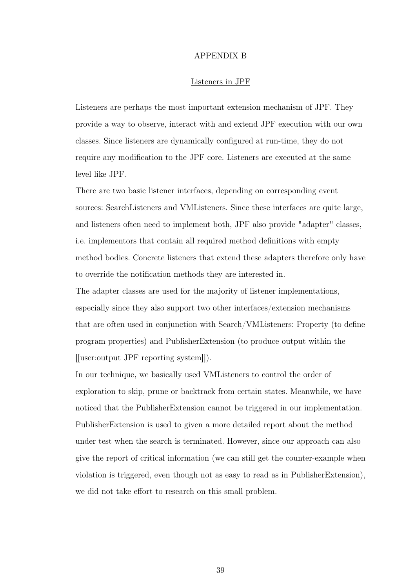#### APPENDIX B

#### Listeners in JPF

Listeners are perhaps the most important extension mechanism of JPF. They provide a way to observe, interact with and extend JPF execution with our own classes. Since listeners are dynamically configured at run-time, they do not require any modification to the JPF core. Listeners are executed at the same level like JPF.

There are two basic listener interfaces, depending on corresponding event sources: SearchListeners and VMListeners. Since these interfaces are quite large, and listeners often need to implement both, JPF also provide "adapter" classes, i.e. implementors that contain all required method definitions with empty method bodies. Concrete listeners that extend these adapters therefore only have to override the notification methods they are interested in.

The adapter classes are used for the majority of listener implementations, especially since they also support two other interfaces/extension mechanisms that are often used in conjunction with Search/VMListeners: Property (to define program properties) and PublisherExtension (to produce output within the [[user:output JPF reporting system]]).

In our technique, we basically used VMListeners to control the order of exploration to skip, prune or backtrack from certain states. Meanwhile, we have noticed that the PublisherExtension cannot be triggered in our implementation. PublisherExtension is used to given a more detailed report about the method under test when the search is terminated. However, since our approach can also give the report of critical information (we can still get the counter-example when violation is triggered, even though not as easy to read as in PublisherExtension), we did not take effort to research on this small problem.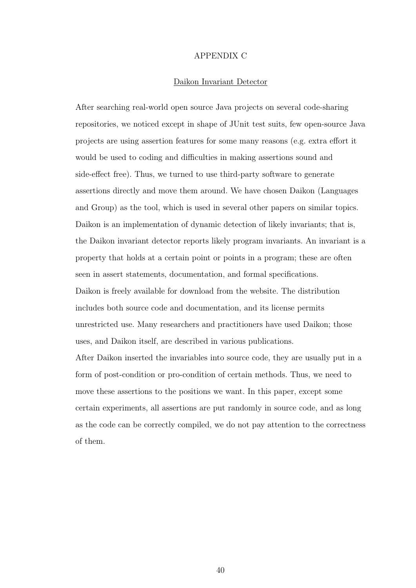#### APPENDIX C

#### Daikon Invariant Detector

After searching real-world open source Java projects on several code-sharing repositories, we noticed except in shape of JUnit test suits, few open-source Java projects are using assertion features for some many reasons (e.g. extra effort it would be used to coding and difficulties in making assertions sound and side-effect free). Thus, we turned to use third-party software to generate assertions directly and move them around. We have chosen Daikon (Languages and Group) as the tool, which is used in several other papers on similar topics. Daikon is an implementation of dynamic detection of likely invariants; that is, the Daikon invariant detector reports likely program invariants. An invariant is a property that holds at a certain point or points in a program; these are often seen in assert statements, documentation, and formal specifications. Daikon is freely available for download from the website. The distribution includes both source code and documentation, and its license permits unrestricted use. Many researchers and practitioners have used Daikon; those uses, and Daikon itself, are described in various publications. After Daikon inserted the invariables into source code, they are usually put in a form of post-condition or pro-condition of certain methods. Thus, we need to move these assertions to the positions we want. In this paper, except some certain experiments, all assertions are put randomly in source code, and as long as the code can be correctly compiled, we do not pay attention to the correctness of them.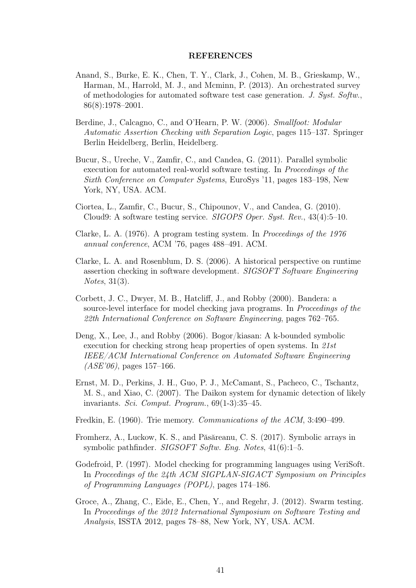#### REFERENCES

- Anand, S., Burke, E. K., Chen, T. Y., Clark, J., Cohen, M. B., Grieskamp, W., Harman, M., Harrold, M. J., and Mcminn, P. (2013). An orchestrated survey of methodologies for automated software test case generation. J. Syst. Softw., 86(8):1978–2001.
- Berdine, J., Calcagno, C., and O'Hearn, P. W. (2006). Smallfoot: Modular Automatic Assertion Checking with Separation Logic, pages 115–137. Springer Berlin Heidelberg, Berlin, Heidelberg.
- Bucur, S., Ureche, V., Zamfir, C., and Candea, G. (2011). Parallel symbolic execution for automated real-world software testing. In *Proceedings of the* Sixth Conference on Computer Systems, EuroSys '11, pages 183–198, New York, NY, USA. ACM.
- Ciortea, L., Zamfir, C., Bucur, S., Chipounov, V., and Candea, G. (2010). Cloud9: A software testing service. SIGOPS Oper. Syst. Rev., 43(4):5–10.
- Clarke, L. A. (1976). A program testing system. In Proceedings of the 1976 annual conference, ACM '76, pages 488–491. ACM.
- Clarke, L. A. and Rosenblum, D. S. (2006). A historical perspective on runtime assertion checking in software development. SIGSOFT Software Engineering Notes, 31(3).
- Corbett, J. C., Dwyer, M. B., Hatcliff, J., and Robby (2000). Bandera: a source-level interface for model checking java programs. In Proceedings of the 22th International Conference on Software Engineering, pages 762–765.
- Deng, X., Lee, J., and Robby (2006). Bogor/kiasan: A k-bounded symbolic execution for checking strong heap properties of open systems. In 21st IEEE/ACM International Conference on Automated Software Engineering  $(ASE'06)$ , pages 157–166.
- Ernst, M. D., Perkins, J. H., Guo, P. J., McCamant, S., Pacheco, C., Tschantz, M. S., and Xiao, C. (2007). The Daikon system for dynamic detection of likely invariants. Sci. Comput. Program., 69(1-3):35–45.
- Fredkin, E. (1960). Trie memory. Communications of the ACM, 3:490–499.
- Fromherz, A., Luckow, K. S., and Păsăreanu, C. S. (2017). Symbolic arrays in symbolic pathfinder. SIGSOFT Softw. Eng. Notes, 41(6):1–5.
- Godefroid, P. (1997). Model checking for programming languages using VeriSoft. In Proceedings of the 24th ACM SIGPLAN-SIGACT Symposium on Principles of Programming Languages (POPL), pages 174–186.
- Groce, A., Zhang, C., Eide, E., Chen, Y., and Regehr, J. (2012). Swarm testing. In Proceedings of the 2012 International Symposium on Software Testing and Analysis, ISSTA 2012, pages 78–88, New York, NY, USA. ACM.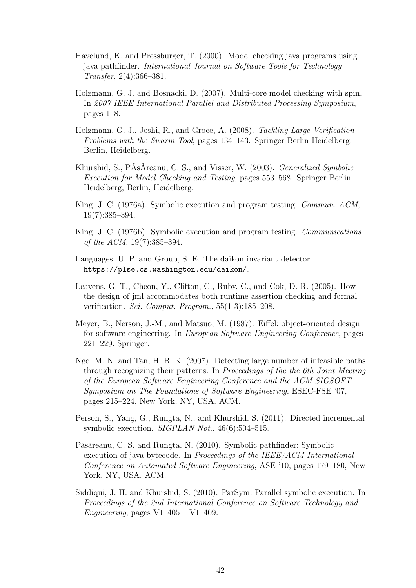- Havelund, K. and Pressburger, T. (2000). Model checking java programs using java pathfinder. International Journal on Software Tools for Technology Transfer, 2(4):366–381.
- Holzmann, G. J. and Bosnacki, D. (2007). Multi-core model checking with spin. In 2007 IEEE International Parallel and Distributed Processing Symposium, pages 1–8.
- Holzmann, G. J., Joshi, R., and Groce, A. (2008). Tackling Large Verification Problems with the Swarm Tool, pages 134–143. Springer Berlin Heidelberg, Berlin, Heidelberg.
- Khurshid, S., PĂsĂreanu, C. S., and Visser, W. (2003). Generalized Symbolic Execution for Model Checking and Testing, pages 553–568. Springer Berlin Heidelberg, Berlin, Heidelberg.
- King, J. C. (1976a). Symbolic execution and program testing. Commun. ACM, 19(7):385–394.
- King, J. C. (1976b). Symbolic execution and program testing. Communications of the ACM, 19(7):385–394.
- Languages, U. P. and Group, S. E. The daikon invariant detector. https://plse.cs.washington.edu/daikon/.
- Leavens, G. T., Cheon, Y., Clifton, C., Ruby, C., and Cok, D. R. (2005). How the design of jml accommodates both runtime assertion checking and formal verification. Sci. Comput. Program., 55(1-3):185–208.
- Meyer, B., Nerson, J.-M., and Matsuo, M. (1987). Eiffel: object-oriented design for software engineering. In European Software Engineering Conference, pages 221–229. Springer.
- Ngo, M. N. and Tan, H. B. K. (2007). Detecting large number of infeasible paths through recognizing their patterns. In Proceedings of the the 6th Joint Meeting of the European Software Engineering Conference and the ACM SIGSOFT Symposium on The Foundations of Software Engineering, ESEC-FSE '07, pages 215–224, New York, NY, USA. ACM.
- Person, S., Yang, G., Rungta, N., and Khurshid, S. (2011). Directed incremental symbolic execution. *SIGPLAN Not.*, 46(6):504–515.
- Păsăreanu, C. S. and Rungta, N. (2010). Symbolic pathfinder: Symbolic execution of java bytecode. In Proceedings of the IEEE/ACM International Conference on Automated Software Engineering, ASE '10, pages 179–180, New York, NY, USA. ACM.
- Siddiqui, J. H. and Khurshid, S. (2010). ParSym: Parallel symbolic execution. In Proceedings of the 2nd International Conference on Software Technology and Engineering, pages  $V1-405 - V1-409$ .